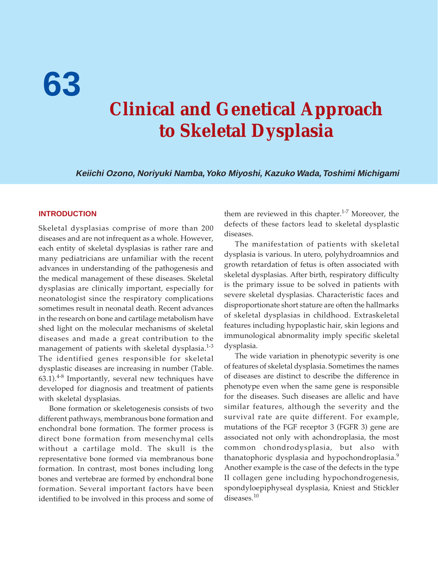**63**

# **Clinical and Genetical Approach to Skeletal Dysplasia**

**Keiichi Ozono, Noriyuki Namba, Yoko Miyoshi, Kazuko Wada, Toshimi Michigami**

#### **INTRODUCTION**

Skeletal dysplasias comprise of more than 200 diseases and are not infrequent as a whole. However, each entity of skeletal dysplasias is rather rare and many pediatricians are unfamiliar with the recent advances in understanding of the pathogenesis and the medical management of these diseases. Skeletal dysplasias are clinically important, especially for neonatologist since the respiratory complications sometimes result in neonatal death. Recent advances in the research on bone and cartilage metabolism have shed light on the molecular mechanisms of skeletal diseases and made a great contribution to the management of patients with skeletal dysplasia. $1-3$ The identified genes responsible for skeletal dysplastic diseases are increasing in number (Table. 63.1).<sup>4-8</sup> Importantly, several new techniques have developed for diagnosis and treatment of patients with skeletal dysplasias.

Bone formation or skeletogenesis consists of two different pathways, membranous bone formation and enchondral bone formation. The former process is direct bone formation from mesenchymal cells without a cartilage mold. The skull is the representative bone formed via membranous bone formation. In contrast, most bones including long bones and vertebrae are formed by enchondral bone formation. Several important factors have been identified to be involved in this process and some of

them are reviewed in this chapter.<sup>1-7</sup> Moreover, the defects of these factors lead to skeletal dysplastic diseases.

The manifestation of patients with skeletal dysplasia is various. In utero, polyhydroamnios and growth retardation of fetus is often associated with skeletal dysplasias. After birth, respiratory difficulty is the primary issue to be solved in patients with severe skeletal dysplasias. Characteristic faces and disproportionate short stature are often the hallmarks of skeletal dysplasias in childhood. Extraskeletal features including hypoplastic hair, skin legions and immunological abnormality imply specific skeletal dysplasia.

The wide variation in phenotypic severity is one of features of skeletal dysplasia. Sometimes the names of diseases are distinct to describe the difference in phenotype even when the same gene is responsible for the diseases. Such diseases are allelic and have similar features, although the severity and the survival rate are quite different. For example, mutations of the FGF receptor 3 (FGFR 3) gene are associated not only with achondroplasia, the most common chondrodysplasia, but also with thanatophoric dysplasia and hypochondroplasia.<sup>9</sup> Another example is the case of the defects in the type II collagen gene including hypochondrogenesis, spondyloepiphyseal dysplasia, Kniest and Stickler diseases.<sup>10</sup>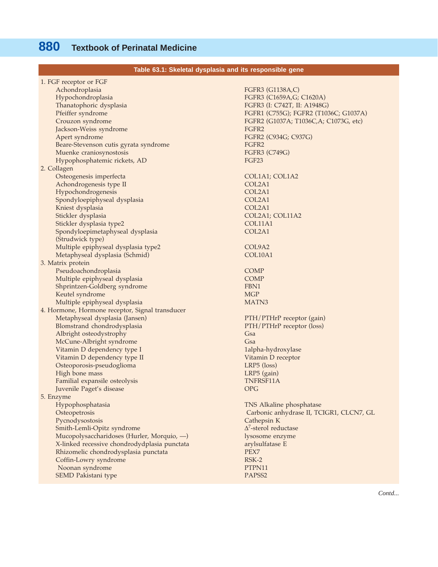| Table 63.1: Skeletal dysplasia and its responsible gene |                                          |
|---------------------------------------------------------|------------------------------------------|
| 1. FGF receptor or FGF                                  |                                          |
| Achondroplasia                                          | FGFR3 (G1138A,C)                         |
| Hypochondroplasia                                       | FGFR3 (C1659A, G; C1620A)                |
| Thanatophoric dysplasia                                 | FGFR3 (I: C742T, II: A1948G)             |
| Pfeiffer syndrome                                       | FGFR1 (C755G); FGFR2 (T1036C; G1037A)    |
| Crouzon syndrome                                        | FGFR2 (G1037A; T1036C,A; C1073G, etc)    |
| Jackson-Weiss syndrome                                  | FGFR2                                    |
| Apert syndrome                                          | FGFR2 (C934G; C937G)                     |
| Beare-Stevenson cutis gyrata syndrome                   | FGFR2                                    |
| Muenke craniosynostosis                                 | FGFR3 (C749G)                            |
| Hypophosphatemic rickets, AD                            | FGF <sub>23</sub>                        |
| 2. Collagen                                             |                                          |
| Osteogenesis imperfecta                                 |                                          |
|                                                         | COL1A1; COL1A2<br>COL2A1                 |
| Achondrogenesis type II                                 |                                          |
| Hypochondrogenesis                                      | COL2A1                                   |
| Spondyloepiphyseal dysplasia                            | COL2A1                                   |
| Kniest dysplasia                                        | COL2A1                                   |
| Stickler dysplasia                                      | COL2A1; COL11A2                          |
| Stickler dysplasia type2                                | COL11A1                                  |
| Spondyloepimetaphyseal dysplasia                        | COL2A1                                   |
| (Strudwick type)                                        |                                          |
| Multiple epiphyseal dysplasia type2                     | COL9A2                                   |
| Metaphyseal dysplasia (Schmid)                          | COL10A1                                  |
| 3. Matrix protein                                       |                                          |
| Pseudoachondroplasia                                    | <b>COMP</b>                              |
| Multiple epiphyseal dysplasia                           | <b>COMP</b>                              |
| Shprintzen-Goldberg syndrome                            | FBN1                                     |
| Keutel syndrome                                         | <b>MGP</b>                               |
| Multiple epiphyseal dysplasia                           | MATN <sub>3</sub>                        |
| 4. Hormone, Hormone receptor, Signal transducer         |                                          |
| Metaphyseal dysplasia (Jansen)                          | PTH/PTHrP receptor (gain)                |
| Blomstrand chondrodysplasia                             | PTH/PTHrP receptor (loss)                |
| Albright osteodystrophy                                 | Gsa                                      |
| McCune-Albright syndrome                                | Gsa                                      |
| Vitamin D dependency type I                             | 1alpha-hydroxylase                       |
| Vitamin D dependency type II                            | Vitamin D receptor                       |
| Osteoporosis-pseudoglioma                               | $LRP5$ (loss)                            |
| High bone mass                                          | LRP5 (gain)                              |
| Familial expansile osteolysis                           | TNFRSF11A                                |
| Juvenile Paget's disease                                | <b>OPG</b>                               |
| 5. Enzyme                                               |                                          |
| Hypophosphatasia                                        | TNS Alkaline phosphatase                 |
| Osteopetrosis                                           | Carbonic anhydrase II, TCIGR1, CLCN7, GL |
| Pycnodysostosis                                         | Cathepsin K                              |
| Smith-Lemli-Opitz syndrome                              | $\Delta^7$ -sterol reductase             |
| Mucopolysaccharidoses (Hurler, Morquio, -)              | lysosome enzyme                          |
| X-linked recessive chondrodydplasia punctata            | arylsulfatase E                          |
| Rhizomelic chondrodysplasia punctata                    | PEX7                                     |
| Coffin-Lowry syndrome                                   | $RSK-2$                                  |
| Noonan syndrome                                         | PTPN11                                   |
| SEMD Pakistani type                                     | PAPSS <sub>2</sub>                       |
|                                                         |                                          |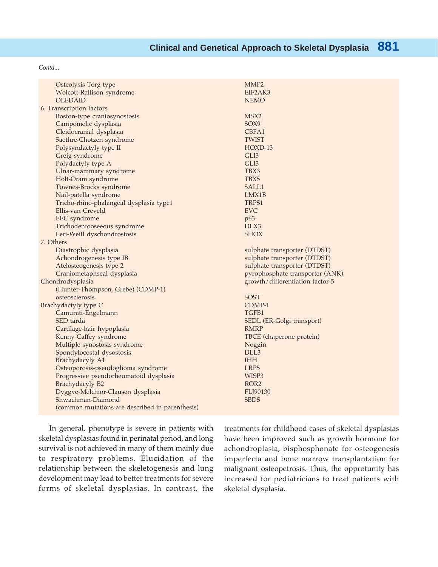*Contd...*

| Osteolysis Torg type                            | MMP <sub>2</sub>                |
|-------------------------------------------------|---------------------------------|
| Wolcott-Rallison syndrome                       | EIF2AK3                         |
| <b>OLEDAID</b>                                  | <b>NEMO</b>                     |
| 6. Transcription factors                        |                                 |
| Boston-type craniosynostosis                    | MSX2                            |
| Campomelic dysplasia                            | SOX9                            |
| Cleidocranial dysplasia                         | CBFA1                           |
| Saethre-Chotzen syndrome                        | <b>TWIST</b>                    |
| Polysyndactyly type II                          | HOXD-13                         |
| Greig syndrome                                  | GLI3                            |
| Polydactyly type A                              | GLI3                            |
| Ulnar-mammary syndrome                          | TBX3                            |
| Holt-Oram syndrome                              | TBX5                            |
| Townes-Brocks syndrome                          | SALL1                           |
| Nail-patella syndrome                           | LMX1B                           |
| Tricho-rhino-phalangeal dysplasia type1         | TRPS1                           |
| Ellis-van Creveld                               | <b>EVC</b>                      |
| EEC syndrome                                    | p63                             |
| Trichodentooseeous syndrome                     | DLX3                            |
| Leri-Weill dyschondrostosis                     | <b>SHOX</b>                     |
| 7. Others                                       |                                 |
| Diastrophic dysplasia                           | sulphate transporter (DTDST)    |
| Achondrogenesis type IB                         | sulphate transporter (DTDST)    |
| Atelosteogenesis type 2                         | sulphate transporter (DTDST)    |
| Craniometaphseal dysplasia                      | pyrophosphate transporter (ANK) |
| Chondrodysplasia                                | growth/differentiation factor-5 |
| (Hunter-Thompson, Grebe) (CDMP-1)               |                                 |
| osteosclerosis                                  | <b>SOST</b>                     |
| Brachydactyly type C                            | CDMP-1                          |
| Camurati-Engelmann                              | TGFB1                           |
| SED tarda                                       | SEDL (ER-Golgi transport)       |
| Cartilage-hair hypoplasia                       | <b>RMRP</b>                     |
| Kenny-Caffey syndrome                           | TBCE (chaperone protein)        |
| Multiple synostosis syndrome                    | Noggin                          |
| Spondylocostal dysostosis                       | DLL3                            |
| Brachydacyly A1                                 | <b>IHH</b>                      |
| Osteoporosis-pseudoglioma syndrome              | LRP5                            |
| Progressive pseudorheumatoid dysplasia          | WISP3                           |
| Brachydacyly B2                                 | ROR <sub>2</sub>                |
| Dyggve-Melchior-Clausen dysplasia               | FLJ90130                        |
| Shwachman-Diamond                               | <b>SBDS</b>                     |
| (common mutations are described in parenthesis) |                                 |

In general, phenotype is severe in patients with skeletal dysplasias found in perinatal period, and long survival is not achieved in many of them mainly due to respiratory problems. Elucidation of the relationship between the skeletogenesis and lung development may lead to better treatments for severe forms of skeletal dysplasias. In contrast, the

treatments for childhood cases of skeletal dysplasias have been improved such as growth hormone for achondroplasia, bisphosphonate for osteogenesis imperfecta and bone marrow transplantation for malignant osteopetrosis. Thus, the opprotunity has increased for pediatricians to treat patients with skeletal dysplasia.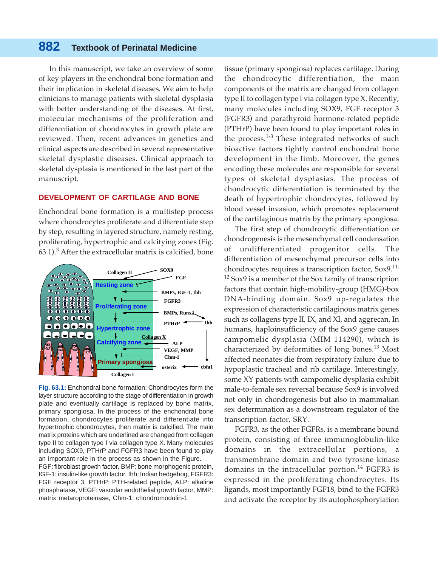In this manuscript, we take an overview of some of key players in the enchondral bone formation and their implication in skeletal diseases. We aim to help clinicians to manage patients with skeletal dysplasia with better understanding of the diseases. At first, molecular mechanisms of the proliferation and differentiation of chondrocytes in growth plate are reviewed. Then, recent advances in genetics and clinical aspects are described in several representative skeletal dysplastic diseases. Clinical approach to skeletal dysplasia is mentioned in the last part of the manuscript.

#### **DEVELOPMENT OF CARTILAGE AND BONE**

Enchondral bone formation is a multistep process where chondrocytes proliferate and differentiate step by step, resulting in layered structure, namely resting, proliferating, hypertrophic and calcifying zones (Fig. 63.1). $^3$  After the extracellular matrix is calcified, bone



**Fig. 63.1:** Enchondral bone formation: Chondrocytes form the layer structure according to the stage of differentiation in growth plate and eventually cartilage is replaced by bone matrix, primary spongiosa. In the process of the enchondral bone formation, chondrocytes proliferate and differentiate into hypertrophic chondrocytes, then matrix is calcified. The main matrix proteins which are underlined are changed from collagen type II to collagen type I via collagen type X. Many molecules including SOX9, PTHrP and FGFR3 have been found to play an important role in the process as shown in the Figure.

FGF: fibroblast growth factor, BMP: bone morphogenic protein, IGF-1: insulin-like growth factor, Ihh: Indian hedgehog, FGFR3: FGF receptor 3, PTHrP: PTH-related peptide, ALP: alkaline phosphatase, VEGF: vascular endothelial growth factor, MMP: matrix metaroproteinase, Chm-1: chondromodulin-1

tissue (primary spongiosa) replaces cartilage. During the chondrocytic differentiation, the main components of the matrix are changed from collagen type II to collagen type I via collagen type X. Recently, many molecules including SOX9, FGF receptor 3 (FGFR3) and parathyroid hormone-related peptide (PTHrP) have been found to play important roles in the process.<sup>1-3</sup> These integrated networks of such bioactive factors tightly control enchondral bone development in the limb. Moreover, the genes encoding these molecules are responsible for several types of skeletal dysplasias. The process of chondrocytic differentiation is terminated by the death of hypertrophic chondrocytes, followed by blood vessel invasion, which promotes replacement of the cartilaginous matrix by the primary spongiosa.

The first step of chondrocytic differentiation or chondrogenesis is the mesenchymal cell condensation of undifferentiated progenitor cells. The differentiation of mesenchymal precursor cells into chondrocytes requires a transcription factor,  $Sox9$ <sup>11,</sup>  $12$  Sox9 is a member of the Sox family of transcription factors that contain high-mobility-group (HMG)-box DNA-binding domain. Sox9 up-regulates the expression of characteristic cartilaginous matrix genes such as collagens type II, IX, and XI, and aggrecan. In humans, haploinsufficiency of the Sox9 gene causes campomelic dysplasia (MIM 114290), which is characterized by deformities of long bones.<sup>13</sup> Most affected neonates die from respiratory failure due to hypoplastic tracheal and rib cartilage. Interestingly, some XY patients with campomelic dysplasia exhibit male-to-female sex reversal because Sox9 is involved not only in chondrogenesis but also in mammalian sex determination as a downstream regulator of the transcription factor, SRY.

FGFR3, as the other FGFRs, is a membrane bound protein, consisting of three immunoglobulin-like domains in the extracellular portions, a transmembrane domain and two tyrosine kinase domains in the intracellular portion.<sup>14</sup> FGFR3 is expressed in the proliferating chondrocytes. Its ligands, most importantly FGF18, bind to the FGFR3 and activate the receptor by its autophosphorylation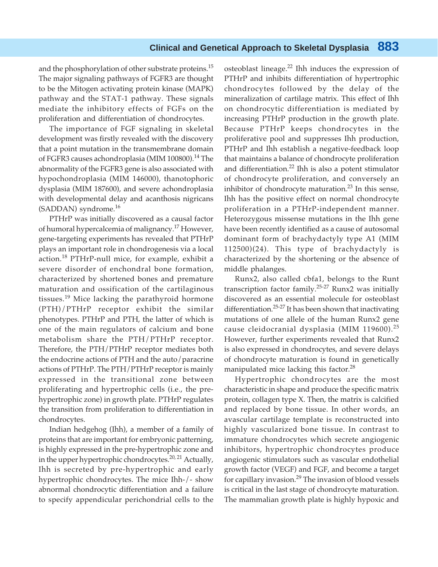and the phosphorylation of other substrate proteins.<sup>15</sup> The major signaling pathways of FGFR3 are thought to be the Mitogen activating protein kinase (MAPK) pathway and the STAT-1 pathway. These signals mediate the inhibitory effects of FGFs on the proliferation and differentiation of chondrocytes.

The importance of FGF signaling in skeletal development was firstly revealed with the discovery that a point mutation in the transmembrane domain of FGFR3 causes achondroplasia (MIM 100800).<sup>14</sup> The abnormality of the FGFR3 gene is also associated with hypochondroplasia (MIM 146000), thanotophoric dysplasia (MIM 187600), and severe achondroplasia with developmental delay and acanthosis nigricans (SADDAN) syndrome.16

PTHrP was initially discovered as a causal factor of humoral hypercalcemia of malignancy.<sup>17</sup> However, gene-targeting experiments has revealed that PTHrP plays an important role in chondrogenesis via a local action.<sup>18</sup> PTHrP-null mice, for example, exhibit a severe disorder of enchondral bone formation, characterized by shortened bones and premature maturation and ossification of the cartilaginous tissues.19 Mice lacking the parathyroid hormone (PTH)/PTHrP receptor exhibit the similar phenotypes. PTHrP and PTH, the latter of which is one of the main regulators of calcium and bone metabolism share the PTH/PTHrP receptor. Therefore, the PTH/PTHrP receptor mediates both the endocrine actions of PTH and the auto/paracrine actions of PTHrP. The PTH/PTHrP receptor is mainly expressed in the transitional zone between proliferating and hypertrophic cells (i.e., the prehypertrophic zone) in growth plate. PTHrP regulates the transition from proliferation to differentiation in chondrocytes.

Indian hedgehog (Ihh), a member of a family of proteins that are important for embryonic patterning, is highly expressed in the pre-hypertrophic zone and in the upper hypertrophic chondrocytes.<sup>20, 21</sup> Actually, Ihh is secreted by pre-hypertrophic and early hypertrophic chondrocytes. The mice Ihh-/- show abnormal chondrocytic differentiation and a failure to specify appendicular perichondrial cells to the

osteoblast lineage.<sup>22</sup> Ihh induces the expression of PTHrP and inhibits differentiation of hypertrophic chondrocytes followed by the delay of the mineralization of cartilage matrix. This effect of Ihh on chondrocytic differentiation is mediated by increasing PTHrP production in the growth plate. Because PTHrP keeps chondrocytes in the proliferative pool and suppresses Ihh production, PTHrP and Ihh establish a negative-feedback loop that maintains a balance of chondrocyte proliferation and differentiation.<sup>22</sup> Ihh is also a potent stimulator of chondrocyte proliferation, and conversely an inhibitor of chondrocyte maturation. $^{23}$  In this sense, Ihh has the positive effect on normal chondrocyte proliferation in a PTHrP-independent manner. Heterozygous missense mutations in the Ihh gene have been recently identified as a cause of autosomal dominant form of brachydactyly type A1 (MIM 112500)(24). This type of brachydactyly is characterized by the shortening or the absence of middle phalanges.

Runx2, also called cbfa1, belongs to the Runt transcription factor family.25-27 Runx2 was initially discovered as an essential molecule for osteoblast differentiation.25-27 It has been shown that inactivating mutations of one allele of the human Runx2 gene cause cleidocranial dysplasia (MIM 119600).<sup>25</sup> However, further experiments revealed that Runx2 is also expressed in chondrocytes, and severe delays of chondrocyte maturation is found in genetically manipulated mice lacking this factor.<sup>28</sup>

Hypertrophic chondrocytes are the most characteristic in shape and produce the specific matrix protein, collagen type X. Then, the matrix is calcified and replaced by bone tissue. In other words, an avascular cartilage template is reconstructed into highly vascularized bone tissue. In contrast to immature chondrocytes which secrete angiogenic inhibitors, hypertrophic chondrocytes produce angiogenic stimulators such as vascular endothelial growth factor (VEGF) and FGF, and become a target for capillary invasion.<sup>29</sup> The invasion of blood vessels is critical in the last stage of chondrocyte maturation. The mammalian growth plate is highly hypoxic and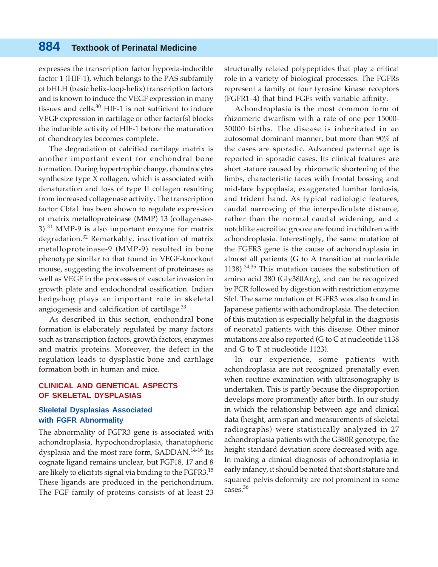expresses the transcription factor hypoxia-inducible factor 1 (HIF-1), which belongs to the PAS subfamily of bHLH (basic helix-loop-helix) transcription factors and is known to induce the VEGF expression in many tissues and cells. $30$  HIF-1 is not sufficient to induce VEGF expression in cartilage or other factor(s) blocks the inducible activity of HIF-1 before the maturation of chondrocytes becomes complete.

The degradation of calcified cartilage matrix is another important event for enchondral bone formation. During hypertrophic change, chondrocytes synthesize type X collagen, which is associated with denaturation and loss of type II collagen resulting from increased collagenase activity. The transcription factor Cbfa1 has been shown to regulate expression of matrix metalloproteinase (MMP) 13 (collagenase- $3$ ).<sup>31</sup> MMP-9 is also important enzyme for matrix degradation.<sup>32</sup> Remarkably, inactivation of matrix metalloproteinase-9 (MMP-9) resulted in bone phenotype similar to that found in VEGF-knockout mouse, suggesting the involvement of proteinases as well as VEGF in the processes of vascular invasion in growth plate and endochondral ossification. Indian hedgehog plays an important role in skeletal angiogenesis and calcification of cartilage.<sup>33</sup>

As described in this section, enchondral bone formation is elaborately regulated by many factors such as transcription factors, growth factors, enzymes and matrix proteins. Moreover, the defect in the regulation leads to dysplastic bone and cartilage formation both in human and mice.

#### **CLINICAL AND GENETICAL ASPECTS OF SKELETAL DYSPLASIAS**

#### **Skeletal Dysplasias Associated with FGFR Abnormality**

The abnormality of FGFR3 gene is associated with achondroplasia, hypochondroplasia, thanatophoric dysplasia and the most rare form, SADDAN.<sup>14-16</sup> Its cognate ligand remains unclear, but FGF18, 17 and 8 are likely to elicit its signal via binding to the FGFR3.<sup>15</sup> These ligands are produced in the perichondrium. The FGF family of proteins consists of at least 23 structurally related polypeptides that play a critical role in a variety of biological processes. The FGFRs represent a family of four tyrosine kinase receptors (FGFR1–4) that bind FGFs with variable affinity.

Achondroplasia is the most common form of rhizomeric dwarfism with a rate of one per 15000- 30000 births. The disease is inheritated in an autosomal dominant manner, but more than 90% of the cases are sporadic. Advanced paternal age is reported in sporadic cases. Its clinical features are short stature caused by rhizomelic shortening of the limbs, characteristic faces with frontal bossing and mid-face hypoplasia, exaggerated lumbar lordosis, and trident hand. As typical radiologic features, caudal narrowing of the interpediculate distance, rather than the normal caudal widening, and a notchlike sacroiliac groove are found in children with achondroplasia. Interestingly, the same mutation of the FGFR3 gene is the cause of achondroplasia in almost all patients (G to A transition at nucleotide 1138). $34,35$  This mutation causes the substitution of amino acid 380 (Gly380Arg), and can be recognized by PCR followed by digestion with restriction enzyme SfcI. The same mutation of FGFR3 was also found in Japanese patients with achondroplasia. The detection of this mutation is especially helpful in the diagnosis of neonatal patients with this disease. Other minor mutations are also reported (G to C at nucleotide 1138 and G to T at nucleotide 1123).

In our experience, some patients with achondroplasia are not recognized prenatally even when routine examination with ultrasonography is undertaken. This is partly because the disproportion develops more prominently after birth. In our study in which the relationship between age and clinical data (height, arm span and measurements of skeletal radiographs) were statistically analyzed in 27 achondroplasia patients with the G380R genotype, the height standard deviation score decreased with age. In making a clinical diagnosis of achondroplasia in early infancy, it should be noted that short stature and squared pelvis deformity are not prominent in some cases.<sup>36</sup>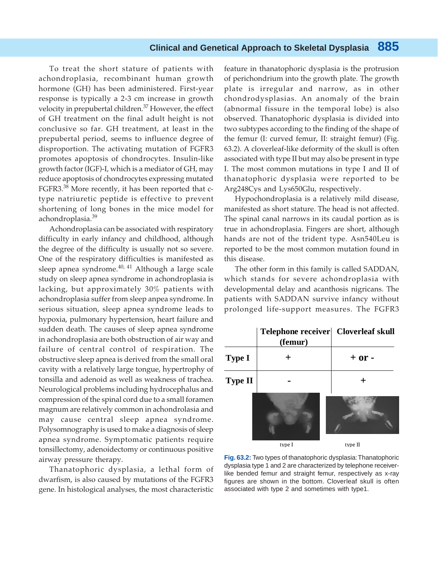To treat the short stature of patients with achondroplasia, recombinant human growth hormone (GH) has been administered. First-year response is typically a 2-3 cm increase in growth velocity in prepubertal children.<sup>37</sup> However, the effect of GH treatment on the final adult height is not conclusive so far. GH treatment, at least in the prepubertal period, seems to influence degree of disproportion. The activating mutation of FGFR3 promotes apoptosis of chondrocytes. Insulin-like growth factor (IGF)-I, which is a mediator of GH, may reduce apoptosis of chondrocytes expressing mutated FGFR3.<sup>38</sup> More recently, it has been reported that ctype natriuretic peptide is effective to prevent shortening of long bones in the mice model for achondroplasia.<sup>39</sup>

Achondroplasia can be associated with respiratory difficulty in early infancy and childhood, although the degree of the difficulty is usually not so severe. One of the respiratory difficulties is manifested as sleep apnea syndrome.<sup>40, 41</sup> Although a large scale study on sleep apnea syndrome in achondroplasia is lacking, but approximately 30% patients with achondroplasia suffer from sleep anpea syndrome. In serious situation, sleep apnea syndrome leads to hypoxia, pulmonary hypertension, heart failure and sudden death. The causes of sleep apnea syndrome in achondroplasia are both obstruction of air way and failure of central control of respiration. The obstructive sleep apnea is derived from the small oral cavity with a relatively large tongue, hypertrophy of tonsilla and adenoid as well as weakness of trachea. Neurological problems including hydrocephalus and compression of the spinal cord due to a small foramen magnum are relatively common in achondrolasia and may cause central sleep apnea syndrome. Polysomnography is used to make a diagnosis of sleep apnea syndrome. Symptomatic patients require tonsillectomy, adenoidectomy or continuous positive airway pressure therapy.

Thanatophoric dysplasia, a lethal form of dwarfism, is also caused by mutations of the FGFR3 gene. In histological analyses, the most characteristic

feature in thanatophoric dysplasia is the protrusion of perichondrium into the growth plate. The growth plate is irregular and narrow, as in other chondrodysplasias. An anomaly of the brain (abnormal fissure in the temporal lobe) is also observed. Thanatophoric dysplasia is divided into two subtypes according to the finding of the shape of the femur (I: curved femur, II: straight femur) (Fig. 63.2). A cloverleaf-like deformity of the skull is often associated with type II but may also be present in type I. The most common mutations in type I and II of thanatophoric dysplasia were reported to be Arg248Cys and Lys650Glu, respectively.

Hypochondroplasia is a relatively mild disease, manifested as short stature. The head is not affected. The spinal canal narrows in its caudal portion as is true in achondroplasia. Fingers are short, although hands are not of the trident type. Asn540Leu is reported to be the most common mutation found in this disease.

The other form in this family is called SADDAN, which stands for severe achondroplasia with developmental delay and acanthosis nigricans. The patients with SADDAN survive infancy without prolonged life-support measures. The FGFR3



**Fig. 63.2:** Two types of thanatophoric dysplasia: Thanatophoric dysplasia type 1 and 2 are characterized by telephone receiverlike bended femur and straight femur, respectively as x-ray figures are shown in the bottom. Cloverleaf skull is often associated with type 2 and sometimes with type1.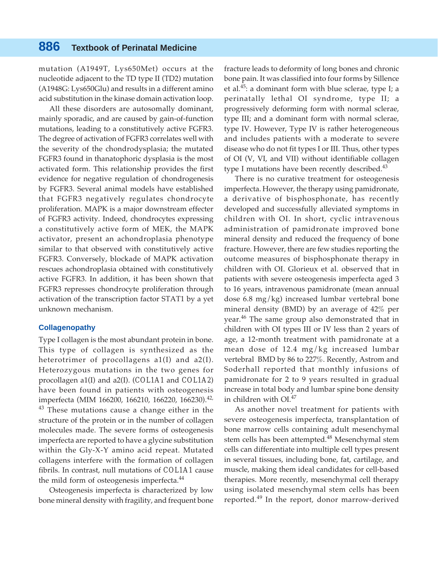mutation (A1949T, Lys650Met) occurs at the nucleotide adjacent to the TD type II (TD2) mutation (A1948G: Lys650Glu) and results in a different amino acid substitution in the kinase domain activation loop.

All these disorders are autosomally dominant, mainly sporadic, and are caused by gain-of-function mutations, leading to a constitutively active FGFR3. The degree of activation of FGFR3 correlates well with the severity of the chondrodysplasia; the mutated FGFR3 found in thanatophoric dysplasia is the most activated form. This relationship provides the first evidence for negative regulation of chondrogenesis by FGFR3. Several animal models have established that FGFR3 negatively regulates chondrocyte proliferation. MAPK is a major downstream effecter of FGFR3 activity. Indeed, chondrocytes expressing a constitutively active form of MEK, the MAPK activator, present an achondroplasia phenotype similar to that observed with constitutively active FGFR3. Conversely, blockade of MAPK activation rescues achondroplasia obtained with constitutively active FGFR3. In addition, it has been shown that FGFR3 represses chondrocyte proliferation through activation of the transcription factor STAT1 by a yet unknown mechanism.

#### **Collagenopathy**

Type I collagen is the most abundant protein in bone. This type of collagen is synthesized as the heterotrimer of procollagens a1(I) and a2(I). Heterozygous mutations in the two genes for procollagen a1(I) and a2(I). (*COL1A1* and *COL1A2*) have been found in patients with osteogenesis imperfecta (MIM 166200, 166210, 166220, 166230).<sup>42,</sup>  $43$  These mutations cause a change either in the structure of the protein or in the number of collagen molecules made. The severe forms of osteogenesis imperfecta are reported to have a glycine substitution within the Gly-X-Y amino acid repeat. Mutated collagens interfere with the formation of collagen fibrils. In contrast, null mutations of *COL1A1* cause the mild form of osteogenesis imperfecta.<sup>44</sup>

Osteogenesis imperfecta is characterized by low bone mineral density with fragility, and frequent bone fracture leads to deformity of long bones and chronic bone pain. It was classified into four forms by Sillence et al.<sup>45</sup>: a dominant form with blue sclerae, type I; a perinatally lethal OI syndrome, type II; a progressively deforming form with normal sclerae, type III; and a dominant form with normal sclerae, type IV. However, Type IV is rather heterogeneous and includes patients with a moderate to severe disease who do not fit types I or III. Thus, other types of OI (V, VI, and VII) without identifiable collagen type I mutations have been recently described. $43$ 

There is no curative treatment for osteogenesis imperfecta. However, the therapy using pamidronate, a derivative of bisphosphonate, has recently developed and successfully alleviated symptoms in children with OI. In short, cyclic intravenous administration of pamidronate improved bone mineral density and reduced the frequency of bone fracture. However, there are few studies reporting the outcome measures of bisphosphonate therapy in children with OI. Glorieux et al. observed that in patients with severe osteogenesis imperfecta aged 3 to 16 years, intravenous pamidronate (mean annual dose 6.8 mg/kg) increased lumbar vertebral bone mineral density (BMD) by an average of 42% per year.<sup>46</sup> The same group also demonstrated that in children with OI types III or IV less than 2 years of age, a 12-month treatment with pamidronate at a mean dose of 12.4 mg/kg increased lumbar vertebral BMD by 86 to 227%. Recently, Astrom and Soderhall reported that monthly infusions of pamidronate for 2 to 9 years resulted in gradual increase in total body and lumbar spine bone density in children with  $OL^{47}$ 

As another novel treatment for patients with severe osteogenesis imperfecta, transplantation of bone marrow cells containing adult mesenchymal stem cells has been attempted.<sup>48</sup> Mesenchymal stem cells can differentiate into multiple cell types present in several tissues, including bone, fat, cartilage, and muscle, making them ideal candidates for cell-based therapies. More recently, mesenchymal cell therapy using isolated mesenchymal stem cells has been reported.<sup>49</sup> In the report, donor marrow-derived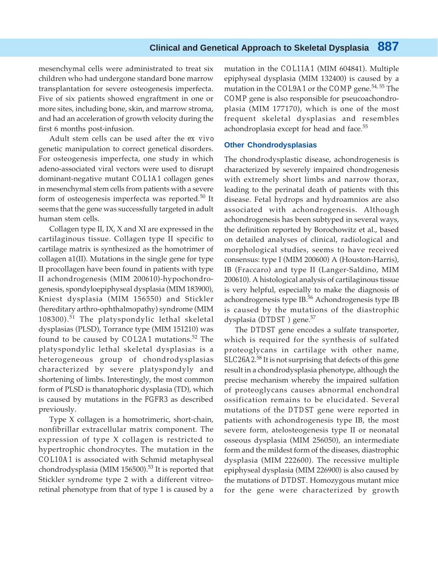mesenchymal cells were administrated to treat six children who had undergone standard bone marrow transplantation for severe osteogenesis imperfecta. Five of six patients showed engraftment in one or more sites, including bone, skin, and marrow stroma, and had an acceleration of growth velocity during the first 6 months post-infusion.

Adult stem cells can be used after the *ex vivo* genetic manipulation to correct genetical disorders. For osteogenesis imperfecta, one study in which adeno-associated viral vectors were used to disrupt dominant-negative mutant *COL1A1* collagen genes in mesenchymal stem cells from patients with a severe form of osteogenesis imperfecta was reported. $50$  It seems that the gene was successfully targeted in adult human stem cells.

Collagen type II, IX, X and XI are expressed in the cartilaginous tissue. Collagen type II specific to cartilage matrix is synthesized as the homotrimer of collagen *a*1(II). Mutations in the single gene for type II procollagen have been found in patients with type II achondrogenesis (MIM 200610)-hypochondrogenesis, spondyloepiphyseal dysplasia (MIM 183900), Kniest dysplasia (MIM 156550) and Stickler (hereditary arthro-ophthalmopathy) syndrome (MIM 108300).<sup>51</sup> The platyspondylic lethal skeletal dysplasias (PLSD), Torrance type (MIM 151210) was found to be caused by *COL2A1* mutations.52 The platyspondylic lethal skeletal dysplasias is a heterogeneous group of chondrodysplasias characterized by severe platyspondyly and shortening of limbs. Interestingly, the most common form of PLSD is thanatophoric dysplasia (TD), which is caused by mutations in the *FGFR3* as described previously.

Type X collagen is a homotrimeric, short-chain, nonfibrillar extracellular matrix component. The expression of type X collagen is restricted to hypertrophic chondrocytes. The mutation in the *COL10A1* is associated with Schmid metaphyseal chondrodysplasia (MIM 156500).<sup>53</sup> It is reported that Stickler syndrome type 2 with a different vitreoretinal phenotype from that of type 1 is caused by a

mutation in the *COL11A1* (MIM 604841). Multiple epiphyseal dysplasia (MIM 132400) is caused by a mutation in the *COL9A1* or the *COMP* gene.54, 55 The *COMP* gene is also responsible for pseucoachondroplasia (MIM 177170), which is one of the most frequent skeletal dysplasias and resembles achondroplasia except for head and face.<sup>55</sup>

#### **Other Chondrodysplasias**

The chondrodysplastic disease, achondrogenesis is characterized by severely impaired chondrogenesis with extremely short limbs and narrow thorax, leading to the perinatal death of patients with this disease. Fetal hydrops and hydroamnios are also associated with achondrogenesis. Although achondrogenesis has been subtyped in several ways, the definition reported by Borochowitz et al., based on detailed analyses of clinical, radiological and morphological studies, seems to have received consensus: type I (MIM 200600) A (Houston-Harris), IB (Fraccaro) and type II (Langer-Saldino, MIM 200610). A histological analysis of cartilaginous tissue is very helpful, especially to make the diagnosis of achondrogenesis type IB.<sup>56</sup> Achondrogenesis type IB is caused by the mutations of the diastrophic dysplasia (*DTDST*) gene.<sup>57</sup>

The *DTDST* gene encodes a sulfate transporter, which is required for the synthesis of sulfated proteoglycans in cartilage with other name, *SLC26A2*. 58 It is not surprising that defects of this gene result in a chondrodysplasia phenotype, although the precise mechanism whereby the impaired sulfation of proteoglycans causes abnormal enchondral ossification remains to be elucidated. Several mutations of the *DTDST* gene were reported in patients with achondrogenesis type IB, the most severe form, atelosteogenesis type II or neonatal osseous dysplasia (MIM 256050), an intermediate form and the mildest form of the diseases, diastrophic dysplasia (MIM 222600). The recessive multiple epiphyseal dysplasia (MIM 226900) is also caused by the mutations of *DTDST*. Homozygous mutant mice for the gene were characterized by growth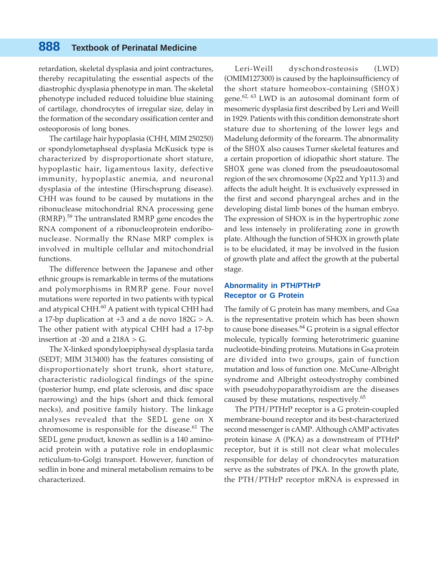retardation, skeletal dysplasia and joint contractures, thereby recapitulating the essential aspects of the diastrophic dysplasia phenotype in man. The skeletal phenotype included reduced toluidine blue staining of cartilage, chondrocytes of irregular size, delay in the formation of the secondary ossification center and osteoporosis of long bones.

The cartilage hair hypoplasia (CHH, MIM 250250) or spondylometaphseal dysplasia McKusick type is characterized by disproportionate short stature, hypoplastic hair, ligamentous laxity, defective immunity, hypoplastic anemia, and neuronal dysplasia of the intestine (Hirschsprung disease). CHH was found to be caused by mutations in the ribonuclease mitochondrial RNA processing gene (*RMRP*).59 The untranslated *RMRP* gene encodes the RNA component of a ribonucleoprotein endoribonuclease. Normally the RNase MRP complex is involved in multiple cellular and mitochondrial functions.

The difference between the Japanese and other ethnic groups is remarkable in terms of the mutations and polymorphisms in *RMRP* gene. Four novel mutations were reported in two patients with typical and atypical CHH. $^{60}$  A patient with typical CHH had a 17-bp duplication at  $+3$  and a de novo  $182G > A$ . The other patient with atypical CHH had a 17-bp insertion at -20 and a  $218A > G$ .

The X-linked spondyloepiphyseal dysplasia tarda (SEDT; MIM 313400) has the features consisting of disproportionately short trunk, short stature, characteristic radiological findings of the spine (posterior hump, end plate sclerosis, and disc space narrowing) and the hips (short and thick femoral necks), and positive family history. The linkage analyses revealed that the *SEDL* gene on X chromosome is responsible for the disease. $61$  The *SEDL* gene product, known as sedlin is a 140 aminoacid protein with a putative role in endoplasmic reticulum-to-Golgi transport. However, function of sedlin in bone and mineral metabolism remains to be characterized.

Leri-Weill dyschondrosteosis (LWD) (OMIM127300) is caused by the haploinsufficiency of the short stature homeobox-containing (*SHOX*) gene.<sup>62, 63</sup> LWD is an autosomal dominant form of mesomeric dysplasia first described by Leri and Weill in 1929. Patients with this condition demonstrate short stature due to shortening of the lower legs and Madelung deformity of the forearm. The abnormality of the *SHOX* also causes Turner skeletal features and a certain proportion of idiopathic short stature. The *SHOX* gene was cloned from the pseudoautosomal region of the sex chromosome (Xp22 and Yp11.3) and affects the adult height. It is exclusively expressed in the first and second pharyngeal arches and in the developing distal limb bones of the human embryo. The expression of SHOX is in the hypertrophic zone and less intensely in proliferating zone in growth plate. Although the function of SHOX in growth plate is to be elucidated, it may be involved in the fusion of growth plate and affect the growth at the pubertal stage.

#### **Abnormality in PTH/PTHrP Receptor or G Protein**

The family of G protein has many members, and Gsa is the representative protein which has been shown to cause bone diseases. $^{64}$  G protein is a signal effector molecule, typically forming heterotrimeric guanine nucleotide-binding proteins. Mutations in Gsa protein are divided into two groups, gain of function mutation and loss of function one. McCune-Albright syndrome and Albright osteodystrophy combined with pseudohypoparathyroidism are the diseases caused by these mutations, respectively.<sup>65</sup>

The PTH/PTHrP receptor is a G protein-coupled membrane-bound receptor and its best-characterized second messenger is cAMP. Although cAMP activates protein kinase A (PKA) as a downstream of PTHrP receptor, but it is still not clear what molecules responsible for delay of chondrocytes maturation serve as the substrates of PKA. In the growth plate, the PTH/PTHrP receptor mRNA is expressed in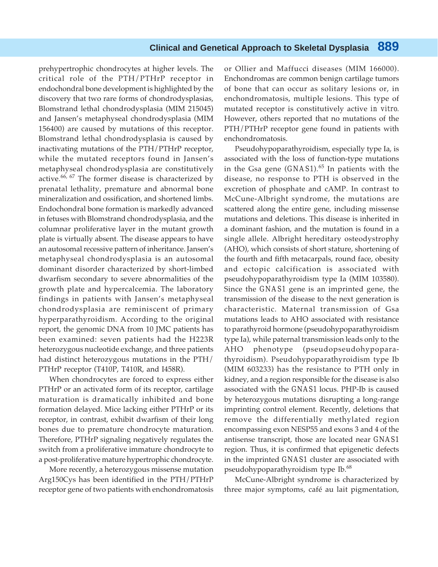prehypertrophic chondrocytes at higher levels. The critical role of the PTH/PTHrP receptor in endochondral bone development is highlighted by the discovery that two rare forms of chondrodysplasias, Blomstrand lethal chondrodysplasia (MIM 215045) and Jansen's metaphyseal chondrodysplasia (MIM 156400) are caused by mutations of this receptor. Blomstrand lethal chondrodysplasia is caused by inactivating mutations of the PTH/PTHrP receptor, while the mutated receptors found in Jansen's metaphyseal chondrodysplasia are constitutively active. $^{66, 67}$  The former disease is characterized by prenatal lethality, premature and abnormal bone mineralization and ossification, and shortened limbs. Endochondral bone formation is markedly advanced in fetuses with Blomstrand chondrodysplasia, and the columnar proliferative layer in the mutant growth plate is virtually absent. The disease appears to have an autosomal recessive pattern of inheritance. Jansen's metaphyseal chondrodysplasia is an autosomal dominant disorder characterized by short-limbed dwarfism secondary to severe abnormalities of the growth plate and hypercalcemia. The laboratory findings in patients with Jansen's metaphyseal chondrodysplasia are reminiscent of primary hyperparathyroidism. According to the original report, the genomic DNA from 10 JMC patients has been examined: seven patients had the H223R heterozygous nucleotide exchange, and three patients had distinct heterozygous mutations in the PTH/ PTHrP receptor (T410P, T410R, and I458R).

When chondrocytes are forced to express either PTHrP or an activated form of its receptor, cartilage maturation is dramatically inhibited and bone formation delayed. Mice lacking either PTHrP or its receptor, in contrast, exhibit dwarfism of their long bones due to premature chondrocyte maturation. Therefore, PTHrP signaling negatively regulates the switch from a proliferative immature chondrocyte to a post-proliferative mature hypertrophic chondrocyte.

More recently, a heterozygous missense mutation Arg150Cys has been identified in the PTH/PTHrP receptor gene of two patients with enchondromatosis

or Ollier and Maffucci diseases (MIM 166000). Enchondromas are common benign cartilage tumors of bone that can occur as solitary lesions or, in enchondromatosis, multiple lesions. This type of mutated receptor is constitutively active *in vitro*. However, others reported that no mutations of the PTH/PTHrP receptor gene found in patients with enchondromatosis.

Pseudohypoparathyroidism, especially type Ia, is associated with the loss of function-type mutations in the Gsa gene (*GNAS1*).<sup>65</sup> In patients with the disease, no response to PTH is observed in the excretion of phosphate and cAMP. In contrast to McCune-Albright syndrome, the mutations are scattered along the entire gene, including missense mutations and deletions. This disease is inherited in a dominant fashion, and the mutation is found in a single allele. Albright hereditary osteodystrophy (AHO), which consists of short stature, shortening of the fourth and fifth metacarpals, round face, obesity and ectopic calcification is associated with pseudohypoparathyroidism type Ia (MIM 103580). Since the *GNAS1* gene is an imprinted gene, the transmission of the disease to the next generation is characteristic. Maternal transmission of Gsa mutations leads to AHO associated with resistance to parathyroid hormone (pseudohypoparathyroidism type Ia), while paternal transmission leads only to the AHO phenotype (pseudopseudohypoparathyroidism). Pseudohypoparathyroidism type Ib (MIM 603233) has the resistance to PTH only in kidney, and a region responsible for the disease is also associated with the *GNAS1* locus. PHP-Ib is caused by heterozygous mutations disrupting a long-range imprinting control element. Recently, deletions that remove the differentially methylated region encompassing exon NESP55 and exons 3 and 4 of the antisense transcript, those are located near *GNAS1* region. Thus, it is confirmed that epigenetic defects in the imprinted *GNAS1* cluster are associated with pseudohypoparathyroidism type Ib.<sup>68</sup>

McCune-Albright syndrome is characterized by three major symptoms, café au lait pigmentation,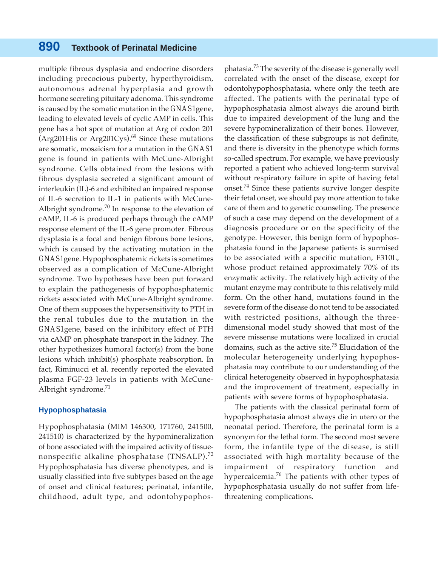multiple fibrous dysplasia and endocrine disorders including precocious puberty, hyperthyroidism, autonomous adrenal hyperplasia and growth hormone secreting pituitary adenoma. This syndrome is caused by the somatic mutation in the *GNAS1*gene, leading to elevated levels of cyclic AMP in cells. This gene has a hot spot of mutation at Arg of codon 201 (Arg201His or Arg201Cys).<sup>69</sup> Since these mutations are somatic, mosaicism for a mutation in the *GNAS1* gene is found in patients with McCune-Albright syndrome. Cells obtained from the lesions with fibrous dysplasia secreted a significant amount of interleukin (IL)-6 and exhibited an impaired response of IL-6 secretion to IL-1 in patients with McCune-Albright syndrome.<sup>70</sup> In response to the elevation of cAMP, IL-6 is produced perhaps through the cAMP response element of the IL-6 gene promoter. Fibrous dysplasia is a focal and benign fibrous bone lesions, which is caused by the activating mutation in the *GNAS1*gene. Hypophosphatemic rickets is sometimes observed as a complication of McCune-Albright syndrome. Two hypotheses have been put forward to explain the pathogenesis of hypophosphatemic rickets associated with McCune-Albright syndrome. One of them supposes the hypersensitivity to PTH in the renal tubules due to the mutation in the *GNAS1*gene, based on the inhibitory effect of PTH via cAMP on phosphate transport in the kidney. The other hypothesizes humoral factor(s) from the bone lesions which inhibit(s) phosphate reabsorption. In fact, Riminucci et al. recently reported the elevated plasma FGF-23 levels in patients with McCune-Albright syndrome. $71$ 

#### **Hypophosphatasia**

Hypophosphatasia (MIM 146300, 171760, 241500, 241510) is characterized by the hypomineralization of bone associated with the impaired activity of tissuenonspecific alkaline phosphatase (TNSALP).<sup>72</sup> Hypophosphatasia has diverse phenotypes, and is usually classified into five subtypes based on the age of onset and clinical features; perinatal, infantile, childhood, adult type, and odontohypophos-

phatasia.73 The severity of the disease is generally well correlated with the onset of the disease, except for odontohypophosphatasia, where only the teeth are affected. The patients with the perinatal type of hypophosphatasia almost always die around birth due to impaired development of the lung and the severe hypomineralization of their bones. However, the classification of these subgroups is not definite, and there is diversity in the phenotype which forms so-called spectrum. For example, we have previously reported a patient who achieved long-term survival without respiratory failure in spite of having fetal onset.<sup>74</sup> Since these patients survive longer despite their fetal onset, we should pay more attention to take care of them and to genetic counseling. The presence of such a case may depend on the development of a diagnosis procedure or on the specificity of the genotype. However, this benign form of hypophosphatasia found in the Japanese patients is surmised to be associated with a specific mutation, F310L, whose product retained approximately 70% of its enzymatic activity. The relatively high activity of the mutant enzyme may contribute to this relatively mild form. On the other hand, mutations found in the severe form of the disease do not tend to be associated with restricted positions, although the threedimensional model study showed that most of the severe missense mutations were localized in crucial domains, such as the active site.<sup>75</sup> Elucidation of the molecular heterogeneity underlying hypophosphatasia may contribute to our understanding of the clinical heterogeneity observed in hypophosphatasia and the improvement of treatment, especially in patients with severe forms of hypophosphatasia.

The patients with the classical perinatal form of hypophosphatasia almost always die in utero or the neonatal period. Therefore, the perinatal form is a synonym for the lethal form. The second most severe form, the infantile type of the disease, is still associated with high mortality because of the impairment of respiratory function and hypercalcemia.<sup>76</sup> The patients with other types of hypophosphatasia usually do not suffer from lifethreatening complications.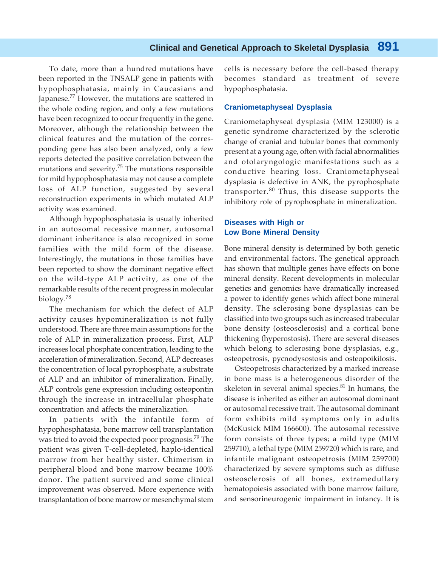To date, more than a hundred mutations have been reported in the TNSALP gene in patients with hypophosphatasia, mainly in Caucasians and Japanese.<sup>77</sup> However, the mutations are scattered in the whole coding region, and only a few mutations have been recognized to occur frequently in the gene. Moreover, although the relationship between the clinical features and the mutation of the corresponding gene has also been analyzed, only a few reports detected the positive correlation between the mutations and severity.<sup>75</sup> The mutations responsible for mild hypophosphatasia may not cause a complete loss of ALP function, suggested by several reconstruction experiments in which mutated ALP activity was examined.

Although hypophosphatasia is usually inherited in an autosomal recessive manner, autosomal dominant inheritance is also recognized in some families with the mild form of the disease. Interestingly, the mutations in those families have been reported to show the dominant negative effect on the wild-type ALP activity, as one of the remarkable results of the recent progress in molecular biology.<sup>78</sup>

The mechanism for which the defect of ALP activity causes hypomineralization is not fully understood. There are three main assumptions for the role of ALP in mineralization process. First, ALP increases local phosphate concentration, leading to the acceleration of mineralization. Second, ALP decreases the concentration of local pyrophosphate, a substrate of ALP and an inhibitor of mineralization. Finally, ALP controls gene expression including osteopontin through the increase in intracellular phosphate concentration and affects the mineralization.

In patients with the infantile form of hypophosphatasia, bone marrow cell transplantation was tried to avoid the expected poor prognosis.<sup>79</sup> The patient was given T-cell-depleted, haplo-identical marrow from her healthy sister. Chimerism in peripheral blood and bone marrow became 100% donor. The patient survived and some clinical improvement was observed. More experience with transplantation of bone marrow or mesenchymal stem

cells is necessary before the cell-based therapy becomes standard as treatment of severe hypophosphatasia.

#### **Craniometaphyseal Dysplasia**

Craniometaphyseal dysplasia (MIM 123000) is a genetic syndrome characterized by the sclerotic change of cranial and tubular bones that commonly present at a young age, often with facial abnormalities and otolaryngologic manifestations such as a conductive hearing loss. Craniometaphyseal dysplasia is defective in ANK, the pyrophosphate transporter. $80$  Thus, this disease supports the inhibitory role of pyrophosphate in mineralization.

#### **Diseases with High or Low Bone Mineral Density**

Bone mineral density is determined by both genetic and environmental factors. The genetical approach has shown that multiple genes have effects on bone mineral density. Recent developments in molecular genetics and genomics have dramatically increased a power to identify genes which affect bone mineral density. The sclerosing bone dysplasias can be classified into two groups such as increased trabecular bone density (osteosclerosis) and a cortical bone thickening (hyperostosis). There are several diseases which belong to sclerosing bone dysplasias, e.g., osteopetrosis, pycnodysostosis and osteopoikilosis.

Osteopetrosis characterized by a marked increase in bone mass is a heterogeneous disorder of the skeleton in several animal species. $81$  In humans, the disease is inherited as either an autosomal dominant or autosomal recessive trait. The autosomal dominant form exhibits mild symptoms only in adults (McKusick MIM 166600). The autosomal recessive form consists of three types; a mild type (MIM 259710), a lethal type (MIM 259720) which is rare, and infantile malignant osteopetrosis (MIM 259700) characterized by severe symptoms such as diffuse osteosclerosis of all bones, extramedullary hematopoiesis associated with bone marrow failure, and sensorineurogenic impairment in infancy. It is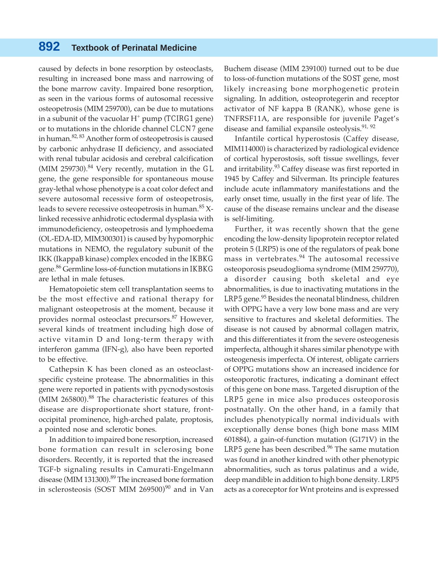caused by defects in bone resorption by osteoclasts, resulting in increased bone mass and narrowing of the bone marrow cavity. Impaired bone resorption, as seen in the various forms of autosomal recessive osteopetrosis (MIM 259700), can be due to mutations in a subunit of the vacuolar H+ pump (*TCIRG1* gene) or to mutations in the chloride channel *CLCN7* gene in human.82, 83 Another form of osteopetrosis is caused by carbonic anhydrase II deficiency, and associated with renal tubular acidosis and cerebral calcification (MIM 259730).84 Very recently, mutation in the *GL* gene, the gene responsible for spontaneous mouse gray-lethal whose phenotype is a coat color defect and severe autosomal recessive form of osteopetrosis, leads to severe recessive osteopetrosis in human.<sup>85</sup> Xlinked recessive anhidrotic ectodermal dysplasia with immunodeficiency, osteopetrosis and lymphoedema (OL-EDA-ID, MIM300301) is caused by hypomorphic mutations in NEMO, the regulatory subunit of the IKK (IkappaB kinase) complex encoded in the *IKBKG* gene.86 Germline loss-of-function mutations in *IKBKG* are lethal in male fetuses.

Hematopoietic stem cell transplantation seems to be the most effective and rational therapy for malignant osteopetrosis at the moment, because it provides normal osteoclast precursors.<sup>87</sup> However, several kinds of treatment including high dose of active vitamin D and long-term therapy with interferon gamma (IFN-g), also have been reported to be effective.

Cathepsin K has been cloned as an osteoclastspecific cysteine protease. The abnormalities in this gene were reported in patients with pycnodysostosis (MIM 265800).<sup>88</sup> The characteristic features of this disease are disproportionate short stature, frontoccipital prominence, high-arched palate, proptosis, a pointed nose and sclerotic bones.

In addition to impaired bone resorption, increased bone formation can result in sclerosing bone disorders. Recently, it is reported that the increased TGF-b signaling results in Camurati-Engelmann disease (MIM 131300).<sup>89</sup> The increased bone formation in sclerosteosis (SOST MIM 269500)<sup>90</sup> and in Van Buchem disease (MIM 239100) turned out to be due to loss-of-function mutations of the *SOST* gene, most likely increasing bone morphogenetic protein signaling. In addition, osteoprotegerin and receptor activator of NF kappa B (RANK), whose gene is TNFRSF11A, are responsible for juvenile Paget's disease and familial expansile osteolysis. $91, 92$ 

Infantile cortical hyperostosis (Caffey disease, MIM114000) is characterized by radiological evidence of cortical hyperostosis, soft tissue swellings, fever and irritability.<sup>93</sup> Caffey disease was first reported in 1945 by Caffey and Silverman. Its principle features include acute inflammatory manifestations and the early onset time, usually in the first year of life. The cause of the disease remains unclear and the disease is self-limiting.

Further, it was recently shown that the gene encoding the low-density lipoprotein receptor related protein 5 (LRP5) is one of the regulators of peak bone mass in vertebrates.<sup>94</sup> The autosomal recessive osteoporosis pseudoglioma syndrome (MIM 259770), a disorder causing both skeletal and eye abnormalities, is due to inactivating mutations in the LRP5 gene.<sup>95</sup> Besides the neonatal blindness, children with OPPG have a very low bone mass and are very sensitive to fractures and skeletal deformities. The disease is not caused by abnormal collagen matrix, and this differentiates it from the severe osteogenesis imperfecta, although it shares similar phenotype with osteogenesis imperfecta. Of interest, obligate carriers of OPPG mutations show an increased incidence for osteoporotic fractures, indicating a dominant effect of this gene on bone mass. Targeted disruption of the *LRP5* gene in mice also produces osteoporosis postnatally. On the other hand, in a family that includes phenotypically normal individuals with exceptionally dense bones (high bone mass MIM 601884), a gain-of-function mutation (G171V) in the LRP5 gene has been described.<sup>96</sup> The same mutation was found in another kindred with other phenotypic abnormalities, such as torus palatinus and a wide, deep mandible in addition to high bone density. LRP5 acts as a coreceptor for Wnt proteins and is expressed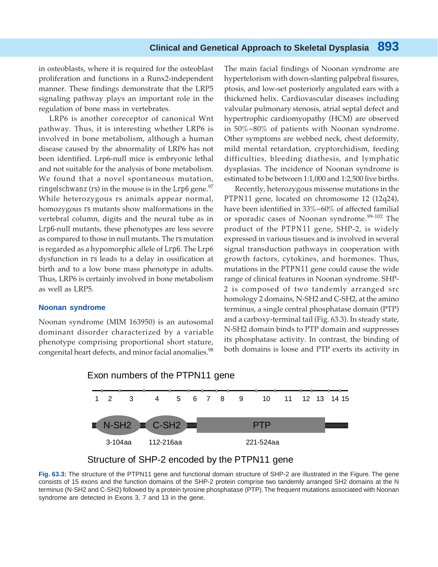in osteoblasts, where it is required for the osteoblast proliferation and functions in a Runx2-independent manner. These findings demonstrate that the LRP5 signaling pathway plays an important role in the regulation of bone mass in vertebrates.

LRP6 is another coreceptor of canonical Wnt pathway. Thus, it is interesting whether LRP6 is involved in bone metabolism, although a human disease caused by the abnormality of LRP6 has not been identified. Lrp6-null mice is embryonic lethal and not suitable for the analysis of bone metabolism. We found that a novel spontaneous mutation, *ringelschwanz* (*rs*) in the mouse is in the  $Lrp6$  gene.<sup>97</sup> While heterozygous rs animals appear normal, homozygous *rs* mutants show malformations in the vertebral column, digits and the neural tube as in *Lrp6*-null mutants, these phenotypes are less severe as compared to those in null mutants. The *rs* mutation is regarded as a hypomorphic allele of *Lrp6*. The Lrp6 dysfunction in *rs* leads to a delay in ossification at birth and to a low bone mass phenotype in adults. Thus, LRP6 is certainly involved in bone metabolism as well as LRP5.

#### **Noonan syndrome**

Noonan syndrome (MIM 163950) is an autosomal dominant disorder characterized by a variable phenotype comprising proportional short stature, congenital heart defects, and minor facial anomalies.<sup>98</sup>

The main facial findings of Noonan syndrome are hypertelorism with down-slanting palpebral fissures, ptosis, and low-set posteriorly angulated ears with a thickened helix. Cardiovascular diseases including valvular pulmonary stenosis, atrial septal defect and hypertrophic cardiomyopathy (HCM) are observed in 50%~80% of patients with Noonan syndrome. Other symptoms are webbed neck, chest deformity, mild mental retardation, cryptorchidism, feeding difficulties, bleeding diathesis, and lymphatic dysplasias. The incidence of Noonan syndrome is estimated to be between 1:1,000 and 1:2,500 live births.

Recently, heterozygous missense mutations in the *PTPN11* gene, located on chromosome 12 (12q24), have been identified in 33%~60% of affected familial or sporadic cases of Noonan syndrome.<sup>99-102</sup> The product of the *PTPN11* gene, SHP-2, is widely expressed in various tissues and is involved in several signal transduction pathways in cooperation with growth factors, cytokines, and hormones. Thus, mutations in the *PTPN11* gene could cause the wide range of clinical features in Noonan syndrome. SHP-2 is composed of two tandemly arranged src homology 2 domains, N-SH2 and C-SH2, at the amino terminus, a single central phosphatase domain (PTP) and a carboxy-terminal tail (Fig. 63.3). In steady state, N-SH2 domain binds to PTP domain and suppresses its phosphatase activity. In contrast, the binding of both domains is loose and PTP exerts its activity in





**Fig. 63.3:** The structure of the PTPN11 gene and functional domain structure of SHP-2 are illustrated in the Figure. The gene consists of 15 exons and the function domains of the SHP-2 protein comprise two tandemly arranged SH2 domains at the N terminus (N-SH2 and C-SH2) followed by a protein tyrosine phosphatase (PTP). The frequent mutations associated with Noonan syndrome are detected in Exons 3, 7 and 13 in the gene.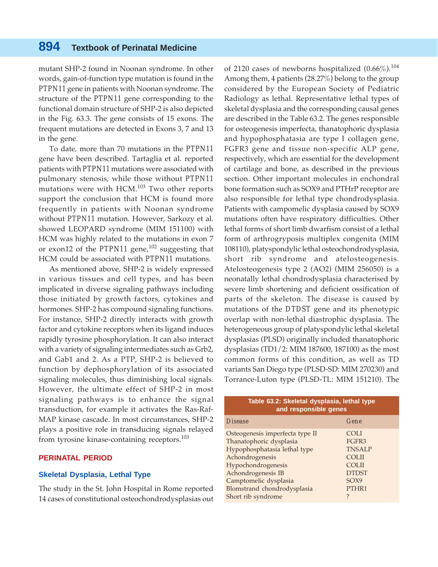mutant SHP-2 found in Noonan syndrome. In other words, gain-of-function type mutation is found in the *PTPN11* gene in patients with Noonan syndrome. The structure of the *PTPN11* gene corresponding to the functional domain structure of SHP-2 is also depicted in the Fig. 63.3. The gene consists of 15 exons. The frequent mutations are detected in Exons 3, 7 and 13 in the gene.

To date, more than 70 mutations in the *PTPN11* gene have been described. Tartaglia et al. reported patients with *PTPN11* mutations were associated with pulmonary stenosis, while those without *PTPN11* mutations were with HCM.<sup>103</sup> Two other reports support the conclusion that HCM is found more frequently in patients with Noonan syndrome without *PTPN11* mutation. However, Sarkozy et al. showed LEOPARD syndrome (MIM 151100) with HCM was highly related to the mutations in exon 7 or exon12 of the *PTPN11* gene,<sup>102</sup> suggesting that HCM could be associated with *PTPN11* mutations.

As mentioned above, SHP-2 is widely expressed in various tissues and cell types, and has been implicated in diverse signaling pathways including those initiated by growth factors, cytokines and hormones. SHP-2 has compound signaling functions. For instance, SHP-2 directly interacts with growth factor and cytokine receptors when its ligand induces rapidly tyrosine phosphorylation. It can also interact with a variety of signaling intermediates such as Grb2, and Gab1 and 2. As a PTP, SHP-2 is believed to function by dephosphorylation of its associated signaling molecules, thus diminishing local signals. However, the ultimate effect of SHP-2 in most signaling pathways is to enhance the signal transduction, for example it activates the Ras-Raf-MAP kinase cascade. In most circumstances, SHP-2 plays a positive role in transducing signals relayed from tyrosine kinase-containing receptors.<sup>103</sup>

#### **PERINATAL PERIOD**

#### **Skeletal Dysplasia, Lethal Type**

The study in the St. John Hospital in Rome reported 14 cases of constitutional osteochondrodysplasias out of 2120 cases of newborns hospitalized  $(0.66\%)$ .<sup>104</sup> Among them, 4 patients (28.27%) belong to the group considered by the European Society of Pediatric Radiology as lethal. Representative lethal types of skeletal dysplasia and the corresponding causal genes are described in the Table 63.2. The genes responsible for osteogenesis imperfecta, thanatophoric dysplasia and hypophosphatasia are type I collagen gene, FGFR3 gene and tissue non-specific ALP gene, respectively, which are essential for the development of cartilage and bone, as described in the previous section. Other important molecules in enchondral bone formation such as SOX9 and PTHrP receptor are also responsible for lethal type chondrodysplasia. Patients with campomelic dysplasia caused by SOX9 mutations often have respiratory difficulties. Other lethal forms of short limb dwarfism consist of a lethal form of arthrogryposis multiplex congenita (MIM 108110), platyspondylic lethal osteochondrodysplasia, short rib syndrome and atelosteogenesis. Atelosteogenesis type 2 (AO2) (MIM 256050) is a neonatally lethal chondrodysplasia characterised by severe limb shortening and deficient ossification of parts of the skeleton. The disease is caused by mutations of the *DTDST* gene and its phenotypic overlap with non-lethal diastrophic dysplasia. The heterogeneous group of platyspondylic lethal skeletal dysplasias (PLSD) originally included thanatophoric dysplasias (TD1/2: MIM 187600, 187100) as the most common forms of this condition, as well as TD variants San Diego type (PLSD-SD: MIM 270230) and Torrance-Luton type (PLSD-TL: MIM 151210). The

| Table 63.2: Skeletal dysplasia, lethal type<br>and responsible genes                                                                                      |                                                                                               |  |
|-----------------------------------------------------------------------------------------------------------------------------------------------------------|-----------------------------------------------------------------------------------------------|--|
| <b>Disease</b>                                                                                                                                            | Gene                                                                                          |  |
| Osteogenesis imperfecta type II<br>Thanatophoric dysplasia<br>Hypophosphatasia lethal type<br>Achondrogenesis<br>Hypochondrogenesis<br>Achondrogenesis IB | <b>COLI</b><br>FGFR3<br><b>TNSALP</b><br><b>COLII</b><br><b>COLII</b><br><b>DTDST</b><br>SOX9 |  |
| Camptomelic dysplasia<br>Blomstrand chondrodysplasia<br>Short rib syndrome                                                                                | PTHR1<br>?                                                                                    |  |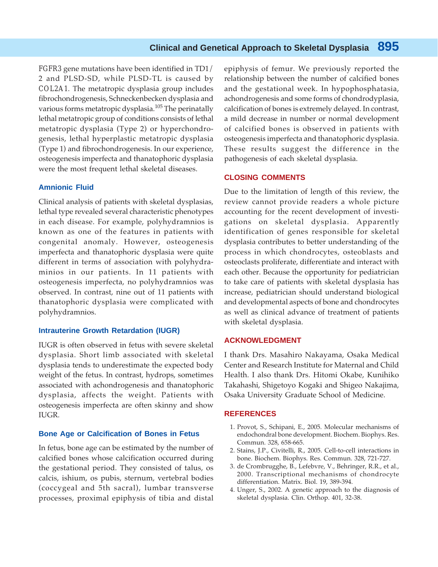*FGFR3* gene mutations have been identified in TD1/ 2 and PLSD-SD, while PLSD-TL is caused by *COL2A1*. The metatropic dysplasia group includes fibrochondrogenesis, Schneckenbecken dysplasia and various forms metatropic dysplasia.<sup>105</sup> The perinatally lethal metatropic group of conditions consists of lethal metatropic dysplasia (Type 2) or hyperchondrogenesis, lethal hyperplastic metatropic dysplasia (Type 1) and fibrochondrogenesis. In our experience, osteogenesis imperfecta and thanatophoric dysplasia were the most frequent lethal skeletal diseases.

#### **Amnionic Fluid**

Clinical analysis of patients with skeletal dysplasias, lethal type revealed several characteristic phenotypes in each disease. For example, polyhydramnios is known as one of the features in patients with congenital anomaly. However, osteogenesis imperfecta and thanatophoric dysplasia were quite different in terms of association with polyhydraminios in our patients. In 11 patients with osteogenesis imperfecta, no polyhydramnios was observed. In contrast, nine out of 11 patients with thanatophoric dysplasia were complicated with polyhydramnios.

#### **Intrauterine Growth Retardation (IUGR)**

IUGR is often observed in fetus with severe skeletal dysplasia. Short limb associated with skeletal dysplasia tends to underestimate the expected body weight of the fetus. In contrast, hydrops, sometimes associated with achondrogenesis and thanatophoric dysplasia, affects the weight. Patients with osteogenesis imperfecta are often skinny and show IUGR.

#### **Bone Age or Calcification of Bones in Fetus**

In fetus, bone age can be estimated by the number of calcified bones whose calcification occurred during the gestational period. They consisted of talus, os calcis, ishium, os pubis, sternum, vertebral bodies (coccygeal and 5th sacral), lumbar transverse processes, proximal epiphysis of tibia and distal epiphysis of femur. We previously reported the relationship between the number of calcified bones and the gestational week. In hypophosphatasia, achondrogenesis and some forms of chondrodyplasia, calcification of bones is extremely delayed. In contrast, a mild decrease in number or normal development of calcified bones is observed in patients with osteogenesis imperfecta and thanatophoric dysplasia. These results suggest the difference in the pathogenesis of each skeletal dysplasia.

#### **CLOSING COMMENTS**

Due to the limitation of length of this review, the review cannot provide readers a whole picture accounting for the recent development of investigations on skeletal dysplasia. Apparently identification of genes responsible for skeletal dysplasia contributes to better understanding of the process in which chondrocytes, osteoblasts and osteoclasts proliferate, differentiate and interact with each other. Because the opportunity for pediatrician to take care of patients with skeletal dysplasia has increase, pediatrician should understand biological and developmental aspects of bone and chondrocytes as well as clinical advance of treatment of patients with skeletal dysplasia.

#### **ACKNOWLEDGMENT**

I thank Drs. Masahiro Nakayama, Osaka Medical Center and Research Institute for Maternal and Child Health. I also thank Drs. Hitomi Okabe, Kunihiko Takahashi, Shigetoyo Kogaki and Shigeo Nakajima, Osaka University Graduate School of Medicine.

#### **REFERENCES**

- 1. Provot, S., Schipani, E., 2005. Molecular mechanisms of endochondral bone development. Biochem. Biophys. Res. Commun. 328, 658-665.
- 2. Stains, J.P., Civitelli, R., 2005. Cell-to-cell interactions in bone. Biochem. Biophys. Res. Commun. 328, 721-727.
- 3. de Crombrugghe, B., Lefebvre, V., Behringer, R.R., et al., 2000. Transcriptional mechanisms of chondrocyte differentiation. Matrix. Biol. 19, 389-394.
- 4. Unger, S., 2002. A genetic approach to the diagnosis of skeletal dysplasia. Clin. Orthop. 401, 32-38.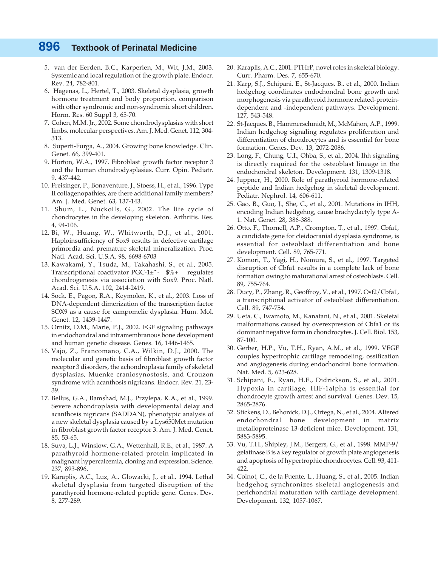- 5. van der Eerden, B.C., Karperien, M., Wit, J.M., 2003. Systemic and local regulation of the growth plate. Endocr. Rev. 24, 782-801.
- 6. Hagenas, L., Hertel, T., 2003. Skeletal dysplasia, growth hormone treatment and body proportion, comparison with other syndromic and non-syndromic short children. Horm. Res. 60 Suppl 3, 65-70.
- 7. Cohen, M.M. Jr., 2002. Some chondrodysplasias with short limbs, molecular perspectives. Am. J. Med. Genet. 112, 304- 313.
- 8. Superti-Furga, A., 2004. Growing bone knowledge. Clin. Genet. 66, 399-401.
- 9. Horton, W.A., 1997. Fibroblast growth factor receptor 3 and the human chondrodysplasias. Curr. Opin. Pediatr. 9, 437-442.
- 10. Freisinger, P., Bonaventure, J., Stoess, H., et al., 1996. Type II collagenopathies, are there additional family members? Am. J. Med. Genet. 63, 137-143.
- 11. Shum, L., Nuckolls, G., 2002. The life cycle of chondrocytes in the developing skeleton. Arthritis. Res. 4, 94-106.
- 12. Bi, W., Huang, W., Whitworth, D.J., et al., 2001. Haploinsufficiency of Sox9 results in defective cartilage primordia and premature skeletal mineralization. Proc. Natl. Acad. Sci. U.S.A. 98, 6698-6703
- 13. Kawakami, Y., Tsuda, M., Takahashi, S., et al., 2005. Transcriptional coactivator PGC-1 $\pm$  ~  $\frac{6}{6}$  + regulates chondrogenesis via association with Sox9. Proc. Natl. Acad. Sci. U.S.A. 102, 2414-2419.
- 14. Sock, E., Pagon, R.A., Keymolen, K., et al., 2003. Loss of DNA-dependent dimerization of the transcription factor SOX9 as a cause for campomelic dysplasia. Hum. Mol. Genet. 12, 1439-1447.
- 15. Ornitz, D.M., Marie, P.J., 2002. FGF signaling pathways in endochondral and intramembranous bone development and human genetic disease. Genes. 16, 1446-1465.
- 16. Vajo, Z., Francomano, C.A., Wilkin, D.J., 2000. The molecular and genetic basis of fibroblast growth factor receptor 3 disorders, the achondroplasia family of skeletal dysplasias, Muenke craniosynostosis, and Crouzon syndrome with acanthosis nigricans. Endocr. Rev. 21, 23- 39.
- 17. Bellus, G.A., Bamshad, M.J., Przylepa, K.A., et al., 1999. Severe achondroplasia with developmental delay and acanthosis nigricans (SADDAN), phenotypic analysis of a new skeletal dysplasia caused by a Lys650Met mutation in fibroblast growth factor receptor 3. Am. J. Med. Genet. 85, 53-65.
- 18. Suva, L.J., Winslow, G.A., Wettenhall, R.E., et al., 1987. A parathyroid hormone-related protein implicated in malignant hypercalcemia, cloning and expression. Science. 237, 893-896.
- 19. Karaplis, A.C., Luz, A., Glowacki, J., et al., 1994. Lethal skeletal dysplasia from targeted disruption of the parathyroid hormone-related peptide gene. Genes. Dev. 8, 277-289.
- 20. Karaplis, A.C., 2001. PTHrP, novel roles in skeletal biology. Curr. Pharm. Des. 7, 655-670.
- 21. Karp, S.J., Schipani, E., St-Jacques, B., et al., 2000. Indian hedgehog coordinates endochondral bone growth and morphogenesis via parathyroid hormone related-proteindependent and -independent pathways. Development. 127, 543-548.
- 22. St-Jacques, B., Hammerschmidt, M., McMahon, A.P., 1999. Indian hedgehog signaling regulates proliferation and differentiation of chondrocytes and is essential for bone formation. Genes. Dev. 13, 2072-2086.
- 23. Long, F., Chung, U.I., Ohba, S., et al., 2004. Ihh signaling is directly required for the osteoblast lineage in the endochondral skeleton. Development. 131, 1309-1318.
- 24. Juppner, H., 2000. Role of parathyroid hormone-related peptide and Indian hedgehog in skeletal development. Pediatr. Nephrol. 14, 606-611.
- 25. Gao, B., Guo, J., She, C., et al., 2001. Mutations in IHH, encoding Indian hedgehog, cause brachydactyly type A-1. Nat. Genet. 28, 386-388.
- 26. Otto, F., Thornell, A.P., Crompton, T., et al., 1997. Cbfa1, a candidate gene for cleidocranial dysplasia syndrome, is essential for osteoblast differentiation and bone development. Cell. 89, 765-771.
- 27. Komori, T., Yagi, H., Nomura, S., et al., 1997. Targeted disruption of Cbfa1 results in a complete lack of bone formation owing to maturational arrest of osteoblasts. Cell. 89, 755-764.
- 28. Ducy, P., Zhang, R., Geoffroy, V., et al., 1997. Osf2/Cbfa1, a transcriptional activator of osteoblast differentiation. Cell. 89, 747-754.
- 29. Ueta, C., Iwamoto, M., Kanatani, N., et al., 2001. Skeletal malformations caused by overexpression of Cbfa1 or its dominant negative form in chondrocytes. J. Cell. Biol. 153, 87-100.
- 30. Gerber, H.P., Vu, T.H., Ryan, A.M., et al., 1999. VEGF couples hypertrophic cartilage remodeling, ossification and angiogenesis during endochondral bone formation. Nat. Med. 5, 623-628.
- 31. Schipani, E., Ryan, H.E., Didrickson, S., et al., 2001. Hypoxia in cartilage, HIF-1alpha is essential for chondrocyte growth arrest and survival. Genes. Dev. 15, 2865-2876.
- 32. Stickens, D., Behonick, D.J., Ortega, N., et al., 2004. Altered endochondral bone development in matrix metalloproteinase 13-deficient mice. Development. 131, 5883-5895.
- 33. Vu, T.H., Shipley, J.M., Bergers, G., et al., 1998. MMP-9/ gelatinase B is a key regulator of growth plate angiogenesis and apoptosis of hypertrophic chondrocytes. Cell. 93, 411- 422.
- 34. Colnot, C., de la Fuente, L., Huang, S., et al., 2005. Indian hedgehog synchronizes skeletal angiogenesis and perichondrial maturation with cartilage development. Development. 132, 1057-1067.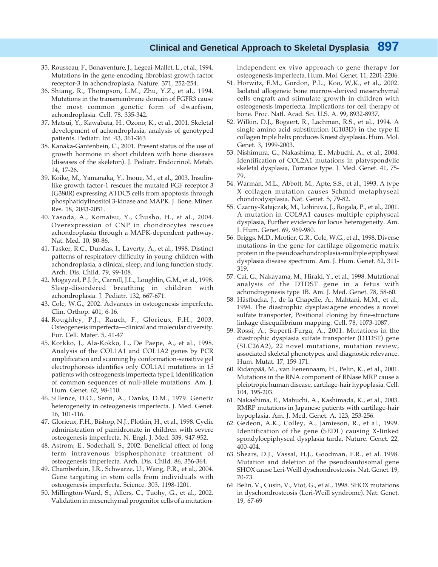- 35. Rousseau, F., Bonaventure, J., Legeai-Mallet, L., et al., 1994. Mutations in the gene encoding fibroblast growth factor receptor-3 in achondroplasia. Nature. 371, 252-254.
- 36. Shiang, R., Thompson, L.M., Zhu, Y.Z., et al., 1994. Mutations in the transmembrane domain of FGFR3 cause the most common genetic form of dwarfism, achondroplasia. Cell. 78, 335-342.
- 37. Matsui, Y., Kawabata, H., Ozono, K., et al., 2001. Skeletal development of achondroplasia, analysis of genotyped patients. Pediatr. Int. 43, 361-363
- 38. Kanaka-Gantenbein, C., 2001. Present status of the use of growth hormone in short children with bone diseases (diseases of the skeleton). J. Pediatr. Endocrinol. Metab. 14, 17-26.
- 39. Koike, M., Yamanaka, Y., Inoue, M., et al., 2003. Insulinlike growth factor-1 rescues the mutated FGF receptor 3 (G380R) expressing ATDC5 cells from apoptosis through phosphatidylinositol 3-kinase and MAPK. J. Bone. Miner. Res. 18, 2043-2051.
- 40. Yasoda, A., Komatsu, Y., Chusho, H., et al., 2004. Overexpression of CNP in chondrocytes rescues achondroplasia through a MAPK-dependent pathway. Nat. Med. 10, 80-86.
- 41. Tasker, R.C., Dundas, I., Laverty, A., et al., 1998. Distinct patterns of respiratory difficulty in young children with achondroplasia, a clinical, sleep, and lung function study. Arch. Dis. Child. 79, 99-108.
- 42. Mogayzel, P.J. Jr., Carroll, J.L., Loughlin, G.M., et al., 1998. Sleep-disordered breathing in children with achondroplasia. J. Pediatr. 132, 667-671.
- 43. Cole, W.G., 2002. Advances in osteogenesis imperfecta. Clin. Orthop. 401, 6-16.
- 44. Roughley, P.J., Rauch, F., Glorieux, F.H., 2003. Osteogenesis imperfecta—clinical and molecular diversity. Eur. Cell. Mater. 5, 41-47
- 45. Korkko, J., Ala-Kokko, L., De Paepe, A., et al., 1998. Analysis of the COL1A1 and COL1A2 genes by PCR amplification and scanning by conformation-sensitive gel electrophoresis identifies only COL1A1 mutations in 15 patients with osteogenesis imperfecta type I, identification of common sequences of null-allele mutations. Am. J. Hum. Genet. 62, 98-110.
- 46. Sillence, D.O., Senn, A., Danks, D.M., 1979. Genetic heterogeneity in osteogenesis imperfecta. J. Med. Genet. 16, 101-116.
- 47. Glorieux, F.H., Bishop, N.J., Plotkin, H., et al., 1998. Cyclic administration of pamidronate in children with severe osteogenesis imperfecta. N. Engl. J. Med. 339, 947-952.
- 48. Astrom, E., Soderhall, S., 2002. Beneficial effect of long term intravenous bisphosphonate treatment of osteogenesis imperfecta. Arch. Dis. Child. 86, 356-364.
- 49. Chamberlain, J.R., Schwarze, U., Wang, P.R., et al., 2004. Gene targeting in stem cells from individuals with osteogenesis imperfecta. Science. 303, 1198-1201.
- 50. Millington-Ward, S., Allers, C., Tuohy, G., et al., 2002. Validation in mesenchymal progenitor cells of a mutation-

independent ex vivo approach to gene therapy for osteogenesis imperfecta. Hum. Mol. Genet. 11, 2201-2206.

- 51. Horwitz, E.M., Gordon, P.L., Koo, W,K., et al., 2002. Isolated allogeneic bone marrow-derived mesenchymal cells engraft and stimulate growth in children with osteogenesis imperfecta, Implications for cell therapy of bone. Proc. Natl. Acad. Sci. U.S. A. 99, 8932-8937.
- 52. Wilkin, D.J., Bogaert, R., Lachman, R.S., et al., 1994. A single amino acid substitution (G103D) in the type II collagen triple helix produces Kniest dysplasia. Hum. Mol. Genet. 3, 1999-2003.
- 53. Nishimura, G., Nakashima, E., Mabuchi, A., et al., 2004. Identification of COL2A1 mutations in platyspondylic skeletal dysplasia, Torrance type. J. Med. Genet. 41, 75- 79.
- 54. Warman, M.L., Abbott, M., Apte, S.S., et al., 1993. A type X collagen mutation causes Schmid metaphyseal chondrodysplasia. Nat. Genet. 5, 79-82.
- 55. Czarny-Ratajczak, M., Lohiniva, J., Rogala, P., et al., 2001. A mutation in COL9A1 causes multiple epiphyseal dysplasia, Further evidence for locus heterogeneity. Am. J. Hum. Genet. 69, 969-980.
- 56. Briggs, M.D., Mortier, G.R., Cole, W.G., et al., 1998. Diverse mutations in the gene for cartilage oligomeric matrix protein in the pseudoachondroplasia-multiple epiphyseal dysplasia disease spectrum. Am. J. Hum. Genet. 62, 311- 319.
- 57. Cai, G., Nakayama, M., Hiraki, Y., et al., 1998. Mutational analysis of the DTDST gene in a fetus with achondrogenesis type 1B. Am. J. Med. Genet. 78, 58-60.
- 58. Hästbacka, J., de la Chapelle, A., Mahtani, M.M., et al., 1994. The diastrophic dysplasiagene encodes a novel sulfate transporter, Positional cloning by fine-structure linkage disequilibrium mapping. Cell. 78, 1073-1087.
- 59. Rossi, A., Superti-Furga, A., 2001. Mutations in the diastrophic dysplasia sulfate transporter (DTDST) gene (SLC26A2), 22 novel mutations, mutation review, associated skeletal phenotypes, and diagnostic relevance. Hum. Mutat. 17, 159-171.
- 60. Ridanpää, M., van Eenennaam, H., Pelin, K., et al., 2001. Mutations in the RNA component of RNase MRP cause a pleiotropic human disease, cartilage-hair hypoplasia. Cell. 104, 195-203.
- 61. Nakashima, E., Mabuchi, A., Kashimada, K., et al., 2003. RMRP mutations in Japanese patients with cartilage-hair hypoplasia. Am. J. Med. Genet. A. 123, 253-256.
- 62. Gedeon, A.K., Colley, A., Jamieson, R., et al., 1999. Identification of the gene (SEDL) causing X-linked spondyloepiphyseal dysplasia tarda. Nature. Genet. 22, 400-404.
- 63. Shears, D.J., Vassal, H.J., Goodman, F.R., et al. 1998. Mutation and deletion of the pseudoautosomal gene SHOX cause Leri-Weill dyschondrosteosis. Nat. Genet. 19, 70-73.
- 64. Belin, V., Cusin, V., Viot, G., et al., 1998. SHOX mutations in dyschondrosteosis (Leri-Weill syndrome). Nat. Genet. 19, 67-69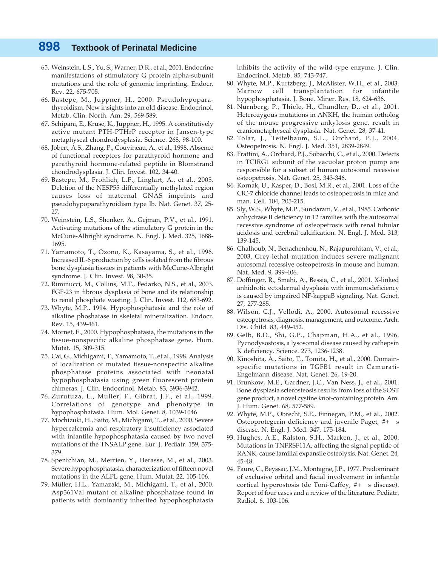- 65. Weinstein, L.S., Yu, S., Warner, D.R., et al., 2001. Endocrine manifestations of stimulatory G protein alpha-subunit mutations and the role of genomic imprinting. Endocr. Rev. 22, 675-705.
- 66. Bastepe, M., Juppner, H., 2000. Pseudohypoparathyroidism. New insights into an old disease. Endocrinol. Metab. Clin. North. Am. 29, 569-589.
- 67. Schipani, E., Kruse, K., Juppner, H., 1995. A constitutively active mutant PTH-PTHrP receptor in Jansen-type metaphyseal chondrodysplasia. Science. 268, 98-100.
- 68. Jobert, A.S., Zhang, P., Couvineau, A., et al., 1998. Absence of functional receptors for parathyroid hormone and parathyroid hormone-related peptide in Blomstrand chondrodysplasia. J. Clin. Invest. 102, 34-40.
- 69. Bastepe, M., Frohlich, L.F., Linglart, A., et al., 2005. Deletion of the NESP55 differentially methylated region causes loss of maternal GNAS imprints and pseudohypoparathyroidism type Ib. Nat. Genet. 37, 25- 27.
- 70. Weinstein, L.S., Shenker, A., Gejman, P.V., et al., 1991. Activating mutations of the stimulatory G protein in the McCune-Albright syndrome. N. Engl. J. Med. 325, 1688- 1695.
- 71. Yamamoto, T., Ozono, K., Kasayama, S., et al., 1996. Increased IL-6 production by cells isolated from the fibrous bone dysplasia tissues in patients with McCune-Albright syndrome. J. Clin. Invest. 98, 30-35.
- 72. Riminucci, M., Collins, M.T., Fedarko, N.S., et al., 2003. FGF-23 in fibrous dysplasia of bone and its relationship to renal phosphate wasting. J. Clin. Invest. 112, 683-692.
- 73. Whyte, M.P., 1994. Hypophosphatasia and the role of alkaline phoshatase in skeletal mineralization. Endocr. Rev. 15, 439-461.
- 74. Mornet, E., 2000. Hypophosphatasia, the mutations in the tissue-nonspecific alkaline phosphatase gene. Hum. Mutat. 15, 309-315.
- 75. Cai, G., Michigami, T., Yamamoto, T., et al., 1998. Analysis of localization of mutated tissue-nonspecific alkaline phosphatase proteins associated with neonatal hypophosphatasia using green fluorescent protein chimeras. J. Clin. Endocrinol. Metab. 83, 3936-3942.
- 76. Zurutuza, L., Muller, F., Gibrat, J.F., et al., 1999. Correlations of genotype and phenotype in hypophosphatasia. Hum. Mol. Genet. 8, 1039-1046
- 77. Mochizuki, H., Saito, M., Michigami, T., et al., 2000. Severe hypercalcemia and respiratory insufficiency associated with infantile hypophosphatasia caused by two novel mutations of the TNSALP gene. Eur. J. Pediatr. 159, 375- 379.
- 78. Spentchian, M., Merrien, Y., Herasse, M., et al., 2003. Severe hypophosphatasia, characterization of fifteen novel mutations in the ALPL gene. Hum. Mutat. 22, 105-106.
- 79. Müller, H.L., Yamazaki, M., Michigami, T., et al., 2000. Asp361Val mutant of alkaline phosphatase found in patients with dominantly inherited hypophosphatasia

inhibits the activity of the wild-type enzyme. J. Clin. Endocrinol. Metab. 85, 743-747.

- 80. Whyte, M.P., Kurtzberg, J., McAlister, W.H., et al., 2003. Marrow cell transplantation for infantile hypophosphatasia. J. Bone. Miner. Res. 18, 624-636.
- 81. Nürnberg, P., Thiele, H., Chandler, D., et al., 2001. Heterozygous mutations in ANKH, the human ortholog of the mouse progressive ankylosis gene, result in craniometaphyseal dysplasia. Nat. Genet. 28, 37-41.
- 82. Tolar, J., Teitelbaum, S.L., Orchard, P.J., 2004. Osteopetrosis. N. Engl. J. Med. 351, 2839-2849.
- 83. Frattini, A., Orchard, P.J., Sobacchi, C., et al., 2000. Defects in TCIRG1 subunit of the vacuolar proton pump are responsible for a subset of human autosomal recessive osteopetrosis. Nat. Genet. 25, 343-346.
- 84. Kornak, U., Kasper, D., Bosl, M.R., et al., 2001. Loss of the ClC-7 chloride channel leads to osteopetrosis in mice and man. Cell. 104, 205-215.
- 85. Sly, W.S., Whyte, M.P., Sundaram, V., et al., 1985. Carbonic anhydrase II deficiency in 12 families with the autosomal recessive syndrome of osteopetrosis with renal tubular acidosis and cerebral calcification. N. Engl. J. Med. 313, 139-145.
- 86. Chalhoub, N., Benachenhou, N., Rajapurohitam, V., et al., 2003. Grey-lethal mutation induces severe malignant autosomal recessive osteopetrosis in mouse and human. Nat. Med. 9, 399-406.
- 87. Doffinger, R., Smahi, A., Bessia, C., et al., 2001. X-linked anhidrotic ectodermal dysplasia with immunodeficiency is caused by impaired NF-kappaB signaling. Nat. Genet. 27, 277-285.
- 88. Wilson, C.J., Vellodi, A., 2000. Autosomal recessive osteopetrosis, diagnosis, management, and outcome. Arch. Dis. Child. 83, 449-452.
- 89. Gelb, B.D., Shi, G.P., Chapman, H.A., et al., 1996. Pycnodysostosis, a lysosomal disease caused by cathepsin K deficiency. Science. 273, 1236-1238.
- 90. Kinoshita, A., Saito, T., Tomita, H., et al., 2000. Domainspecific mutations in TGFB1 result in Camurati-Engelmann disease. Nat. Genet. 26, 19-20.
- 91. Brunkow, M.E., Gardner, J.C., Van Ness, J., et al., 2001. Bone dysplasia sclerosteosis results from loss of the SOST gene product, a novel cystine knot-containing protein. Am. J. Hum. Genet. 68, 577-589.
- 92. Whyte, M.P., Obrecht, S.E., Finnegan, P.M., et al., 2002. Osteoprotegerin deficiency and juvenile Paget, #+ s disease. N. Engl. J. Med. 347, 175-184.
- 93. Hughes, A.E., Ralston, S.H., Marken, J., et al., 2000. Mutations in TNFRSF11A, affecting the signal peptide of RANK, cause familial expansile osteolysis. Nat. Genet. 24, 45-48.
- 94. Faure, C., Beyssac, J.M., Montagne, J.P., 1977. Predominant of exclusive orbital and facial involvement in infantile cortical hyperostosis (de Toni-Caffey, #+ s disease). Report of four cases and a review of the literature. Pediatr. Radiol. 6, 103-106.